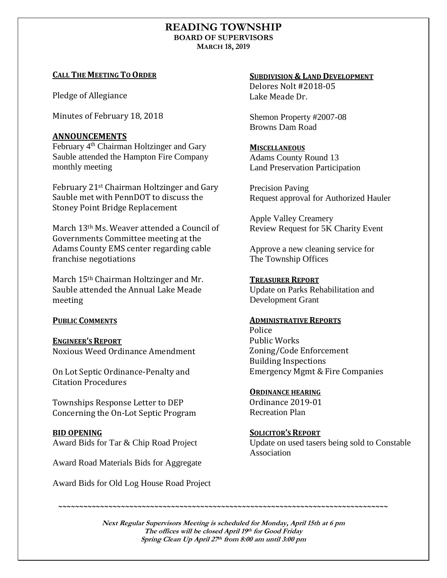# **READING TOWNSHIP BOARD OF SUPERVISORS MARCH 18, 2019**

# **CALL THE MEETING TO ORDER**

Pledge of Allegiance

Minutes of February 18, 2018

# **ANNOUNCEMENTS**

February 4<sup>th</sup> Chairman Holtzinger and Gary Sauble attended the Hampton Fire Company monthly meeting

February 21st Chairman Holtzinger and Gary Sauble met with PennDOT to discuss the Stoney Point Bridge Replacement

March 13th Ms. Weaver attended a Council of Governments Committee meeting at the Adams County EMS center regarding cable franchise negotiations

March 15th Chairman Holtzinger and Mr. Sauble attended the Annual Lake Meade meeting

## **PUBLIC COMMENTS**

**ENGINEER'S REPORT** Noxious Weed Ordinance Amendment

On Lot Septic Ordinance-Penalty and Citation Procedures

Townships Response Letter to DEP Concerning the On-Lot Septic Program

## **BID OPENING**

Award Bids for Tar & Chip Road Project

Award Road Materials Bids for Aggregate

Award Bids for Old Log House Road Project

## **SUBDIVISION & LAND DEVELOPMENT**

Delores Nolt #2018-05 Lake Meade Dr.

Shemon Property #2007-08 Browns Dam Road

# **MISCELLANEOUS**

Adams County Round 13 Land Preservation Participation

Precision Paving Request approval for Authorized Hauler

Apple Valley Creamery Review Request for 5K Charity Event

Approve a new cleaning service for The Township Offices

# **TREASURER REPORT**

Update on Parks Rehabilitation and Development Grant

## **ADMINISTRATIVE REPORTS**

Police Public Works Zoning/Code Enforcement Building Inspections Emergency Mgmt & Fire Companies

## **ORDINANCE HEARING**

Ordinance 2019-01 Recreation Plan

**SOLICITOR'S REPORT**

*~~~~~~~~~~~~~~~~~~~~~~~~~~~~~~~~~~~~~~~~~~~~~~~~~~~~~~~~~~~~~~~~~~~~~~~~~~~~~~~*

Update on used tasers being sold to Constable Association

**Next Regular Supervisors Meeting is scheduled for Monday, April 15th at 6 pm The offices will be closed April 19 th for Good Friday Spring Clean Up April 27 th from 8:00 am until 3:00 pm**